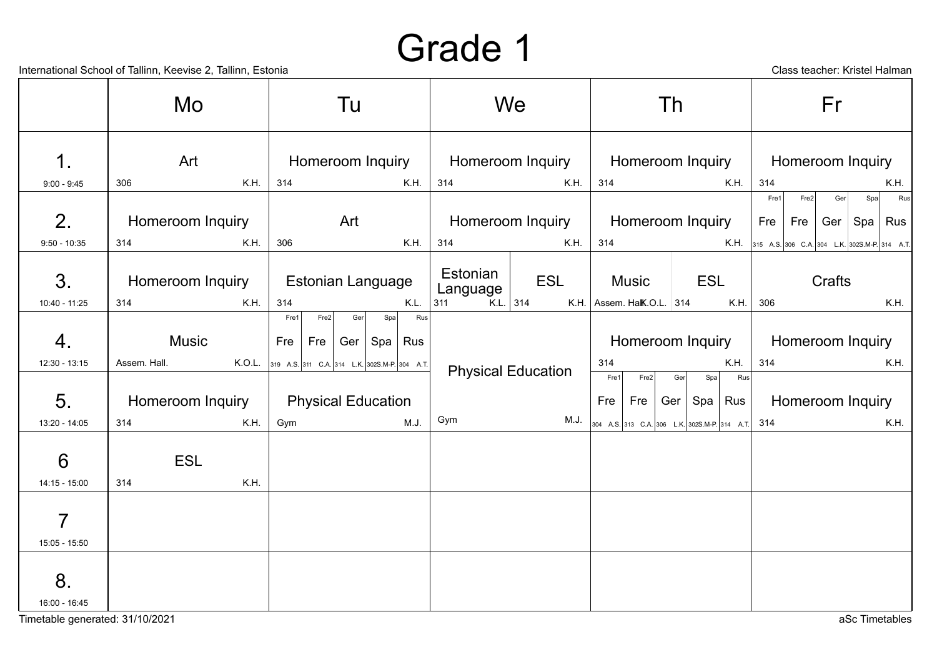International School of Tallinn, Keevise 2, Tallinn, Estonia Class teacher: Kristel Halman

|                                 | Mo                              | Tu                                                                                 | We                                                | 1h                                                                                   | Fr                                                                          |  |  |
|---------------------------------|---------------------------------|------------------------------------------------------------------------------------|---------------------------------------------------|--------------------------------------------------------------------------------------|-----------------------------------------------------------------------------|--|--|
| $\mathbf 1$ .<br>$9:00 - 9:45$  | Art<br>K.H.<br>306              | Homeroom Inquiry<br>K.H.<br>314                                                    | Homeroom Inquiry<br>K.H.<br>314                   | Homeroom Inquiry<br>314<br>K.H.                                                      | Homeroom Inquiry<br>314<br>K.H.                                             |  |  |
| 2.                              | Homeroom Inquiry                | Art                                                                                | Homeroom Inquiry                                  | Homeroom Inquiry                                                                     | Rus<br>Fre1<br>Fre2<br>Ger<br>Spa<br>Fre<br>$\vert$ Rus<br>Fre<br>Ger   Spa |  |  |
| $9:50 - 10:35$<br>3.            | 314<br>K.H.<br>Homeroom Inquiry | K.H.<br>306<br><b>Estonian Language</b>                                            | 314<br>K.H.<br>Estonian<br><b>ESL</b><br>Language | 314<br><b>Music</b><br>ESL                                                           | <b>K.H.</b> 315 A.S. 306 C.A. 304 L.K. 302S.M-P. 314 A.T.<br>Crafts         |  |  |
| 10:40 - 11:25<br>4.             | 314<br>K.H.<br><b>Music</b>     | 314<br>K.L.<br>Rus<br>Fre1<br>Fre2<br>Spa<br>Ger<br>Fre<br>Ger<br>Spa   Rus<br>Fre | K.L. $314$<br>311                                 | K.H.   Assem. Halk.O.L.   314<br>K.H.<br>Homeroom Inquiry                            | 306<br>K.H.<br>Homeroom Inquiry                                             |  |  |
| 12:30 - 13:15                   | K.O.L.<br>Assem. Hall.          | 319 A.S. 311 C.A. 314 L.K. 302S.M-P. 304 A.T.                                      | <b>Physical Education</b>                         | K.H.<br>314<br>Fre1<br>Fre2<br>Ger<br>Spa<br>Rus                                     | 314<br>K.H.                                                                 |  |  |
| 5 <sub>1</sub><br>13:20 - 14:05 | Homeroom Inquiry<br>314<br>K.H. | <b>Physical Education</b><br>M.J.<br>Gym                                           | Gym<br>M.J.                                       | Fre<br>Rus<br>Fre<br>Ger<br>Spa<br>304 A.S. 313 C.A. 306 L.K. 302S.M-P. 314 A.T. 314 | Homeroom Inquiry<br>K.H.                                                    |  |  |
| 6<br>$14:15 - 15:00$            | <b>ESL</b><br>314<br>K.H.       |                                                                                    |                                                   |                                                                                      |                                                                             |  |  |
| 7<br>$15:05 - 15:50$            |                                 |                                                                                    |                                                   |                                                                                      |                                                                             |  |  |
| 8.<br>16:00 - 16:45             |                                 |                                                                                    |                                                   |                                                                                      |                                                                             |  |  |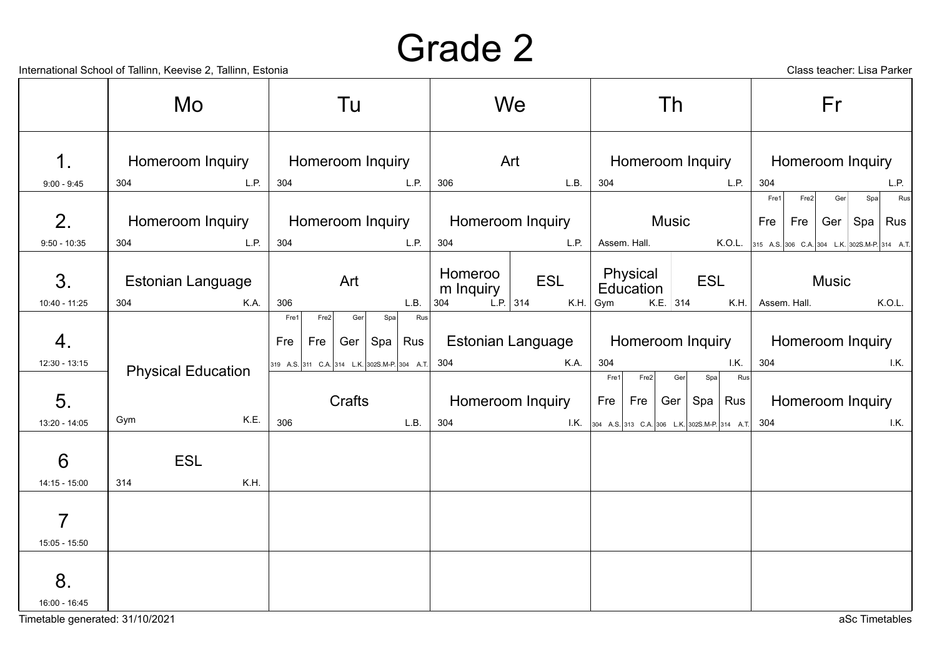Timetable generated: 31/10/2021 aSc Timetables

|                                  | International School of Tallinn, Keevise 2, Tallinn, Estonia |                                                                           |                                    |                                                           | Class teacher: Lisa Parker                    |
|----------------------------------|--------------------------------------------------------------|---------------------------------------------------------------------------|------------------------------------|-----------------------------------------------------------|-----------------------------------------------|
|                                  | Mo                                                           | Tu                                                                        | We                                 | Th                                                        | Fr                                            |
| $\mathbf 1$ .                    | Homeroom Inquiry                                             | Homeroom Inquiry                                                          | Art                                | Homeroom Inquiry                                          | Homeroom Inquiry                              |
| $9:00 - 9:45$                    | L.P.<br>304                                                  | L.P.<br>304                                                               | 306<br>L.B.                        | L.P.<br>304                                               | 304<br>L.P.                                   |
|                                  |                                                              |                                                                           |                                    |                                                           | Fre1<br>Fre2<br>Rus<br>Ger<br>Spa             |
| 2.                               | Homeroom Inquiry                                             | Homeroom Inquiry                                                          | Homeroom Inquiry                   | <b>Music</b>                                              | Fre<br>Spa   Rus<br>Fre<br>Ger                |
| $9:50 - 10:35$                   | L.P.<br>304                                                  | L.P.<br>304                                                               | 304<br>L.P.                        | Assem. Hall.<br>K.O.L.                                    | 315 A.S. 306 C.A. 304 L.K. 302S.M-P. 314 A.T. |
| 3.                               | <b>Estonian Language</b>                                     | Art                                                                       | Homeroo<br><b>ESL</b><br>m Inquiry | Physical<br><b>ESL</b><br>Education                       | <b>Music</b>                                  |
| 10:40 - 11:25                    | 304<br>K.A.                                                  | L.B.<br>306                                                               | L.P. 314<br>304<br>K.H.            | $K.E.$ 314<br>K.H.<br>Gym                                 | K.O.L.<br>Assem. Hall.                        |
| 4.                               |                                                              | Fre2 <br>Fre1<br>Ger<br>Spa<br>Rus<br>Ger $ $<br>Fre<br>Fre<br>Spa<br>Rus | <b>Estonian Language</b>           | Homeroom Inquiry                                          | Homeroom Inquiry                              |
| 12:30 - 13:15                    | <b>Physical Education</b>                                    | 319 A.S. 311 C.A. 314 L.K. 302S.M-P. 304 A.T.                             | 304<br>K.A.                        | I.K.<br>304<br>Rus<br>Fre1<br>Fre2<br>Ger<br>Spa          | 304<br>I.K.                                   |
| 5.                               |                                                              | Crafts                                                                    | Homeroom Inquiry                   | Fre<br>Fre<br>Ger<br>Spa<br>Rus                           | Homeroom Inquiry                              |
| 13:20 - 14:05                    | K.E.<br>Gym                                                  | 306<br>L.B.                                                               | 304                                | <b>I.K.</b> 304 A.S. 313 C.A. 306 L.K. 302S.M-P. 314 A.T. | 304<br>I.K.                                   |
| $6\phantom{1}6$<br>14:15 - 15:00 | <b>ESL</b><br>K.H.<br>314                                    |                                                                           |                                    |                                                           |                                               |
| $\overline{7}$<br>15:05 - 15:50  |                                                              |                                                                           |                                    |                                                           |                                               |
| 8.<br>16:00 - 16:45              |                                                              |                                                                           |                                    |                                                           |                                               |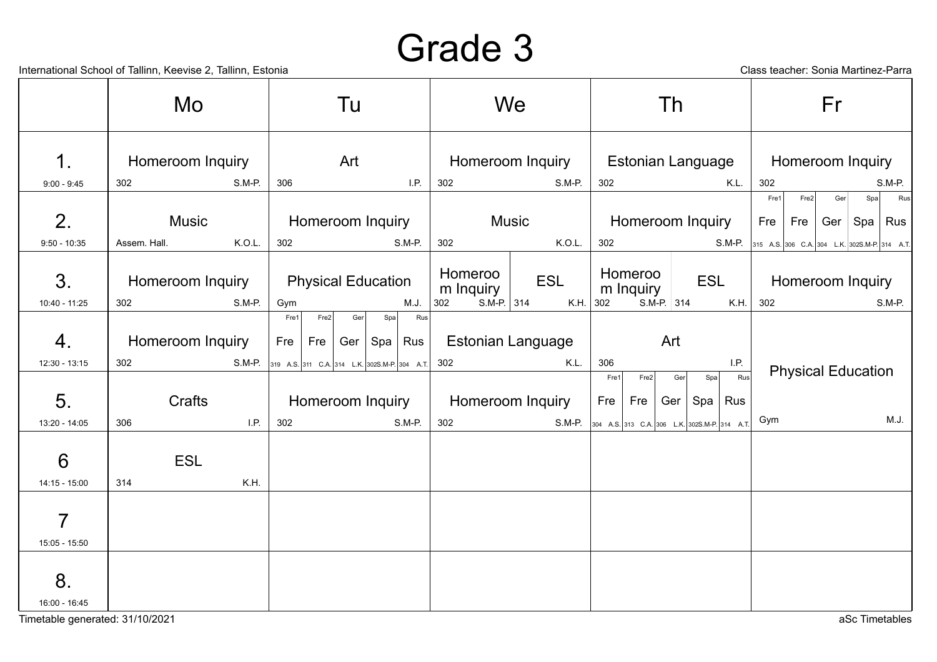International School of Tallinn, Keevise 2, Tallinn, Estonia Class teacher: Sonia Martinez-Parra

|                                 | Mo               |        |             |               | Tu                        |     |                                               |                  |                      | We           |                          |             |                      | Th                       |                                                               |                  |                                                             |                  | Fr                        |     |                                    |
|---------------------------------|------------------|--------|-------------|---------------|---------------------------|-----|-----------------------------------------------|------------------|----------------------|--------------|--------------------------|-------------|----------------------|--------------------------|---------------------------------------------------------------|------------------|-------------------------------------------------------------|------------------|---------------------------|-----|------------------------------------|
| $\mathbf 1$ .                   | Homeroom Inquiry |        |             | Art           |                           |     |                                               | Homeroom Inquiry |                      |              |                          |             |                      | <b>Estonian Language</b> |                                                               |                  |                                                             | Homeroom Inquiry |                           |     |                                    |
| $9:00 - 9:45$                   | 302              | S.M-P. | 306         |               |                           |     | I.P.                                          | 302              |                      |              | S.M-P.                   | 302         |                      |                          |                                                               | K.L.             | 302                                                         |                  |                           |     | S.M-P.                             |
| 2.                              | Music            |        |             |               | Homeroom Inquiry          |     |                                               |                  |                      | <b>Music</b> |                          |             |                      |                          | Homeroom Inquiry                                              |                  | Fre1<br>Fre                                                 | Fre2<br>$Fre$    | Ger                       | Spa | Rus<br>Ger $\vert$ Spa $\vert$ Rus |
| $9:50 - 10:35$                  | Assem. Hall.     | K.O.L. | 302         |               |                           |     | S.M-P.                                        | 302              |                      |              | K.O.L.                   | 302         |                      |                          |                                                               |                  | <b>S.M-P.</b> 315 A.S. 306 C.A. 304 L.K. 302S.M-P. 314 A.T. |                  |                           |     |                                    |
| 3.                              | Homeroom Inquiry |        |             |               | <b>Physical Education</b> |     |                                               |                  | Homeroo<br>m Inquiry |              | <b>ESL</b>               |             | Homeroo<br>m Inquiry |                          | <b>ESL</b>                                                    |                  |                                                             |                  | Homeroom Inquiry          |     |                                    |
| 10:40 - 11:25                   | 302              | S.M-P. | Gym<br>Fre1 | Fre2          | Ger                       | Spa | M.J.<br>Rus                                   | 302              | $S.M-P.$ 314         |              |                          | K.H. 302    |                      | S.M-P. $314$             |                                                               | K.H.             | 302                                                         |                  |                           |     | S.M-P.                             |
| 4.                              | Homeroom Inquiry |        |             | Fre   Fre $ $ |                           |     | Ger $\vert$ Spa $\vert$ Rus                   |                  |                      |              | <b>Estonian Language</b> |             |                      | Art                      |                                                               |                  |                                                             |                  |                           |     |                                    |
| 12:30 - 13:15                   | 302              | S.M-P. |             |               |                           |     | 319 A.S. 311 C.A. 314 L.K. 302S.M-P. 304 A.T. | 302              |                      |              | K.L.                     | 306         |                      |                          |                                                               | I.P.             |                                                             |                  | <b>Physical Education</b> |     |                                    |
| 5.                              | Crafts<br>306    | LP.    |             |               | Homeroom Inquiry          |     | <b>S.M-P.</b>                                 | 302              |                      |              | Homeroom Inquiry         | Fre1<br>Fre | Fre2<br>Fre          | Ger                      | Ger<br>Spa                                                    | Rus<br>Spa   Rus | Gym                                                         |                  |                           |     | M.J.                               |
| 13:20 - 14:05                   |                  |        | 302         |               |                           |     |                                               |                  |                      |              |                          |             |                      |                          | <b>S.M-P.</b> $304$ A.S. 313 C.A. 306 L.K. 302S.M-P. 314 A.T. |                  |                                                             |                  |                           |     |                                    |
| $6\phantom{1}6$                 | <b>ESL</b>       |        |             |               |                           |     |                                               |                  |                      |              |                          |             |                      |                          |                                                               |                  |                                                             |                  |                           |     |                                    |
| $14:15 - 15:00$                 | 314              | K.H.   |             |               |                           |     |                                               |                  |                      |              |                          |             |                      |                          |                                                               |                  |                                                             |                  |                           |     |                                    |
| $\overline{7}$<br>15:05 - 15:50 |                  |        |             |               |                           |     |                                               |                  |                      |              |                          |             |                      |                          |                                                               |                  |                                                             |                  |                           |     |                                    |
| 8.<br>16:00 - 16:45             |                  |        |             |               |                           |     |                                               |                  |                      |              |                          |             |                      |                          |                                                               |                  |                                                             |                  |                           |     |                                    |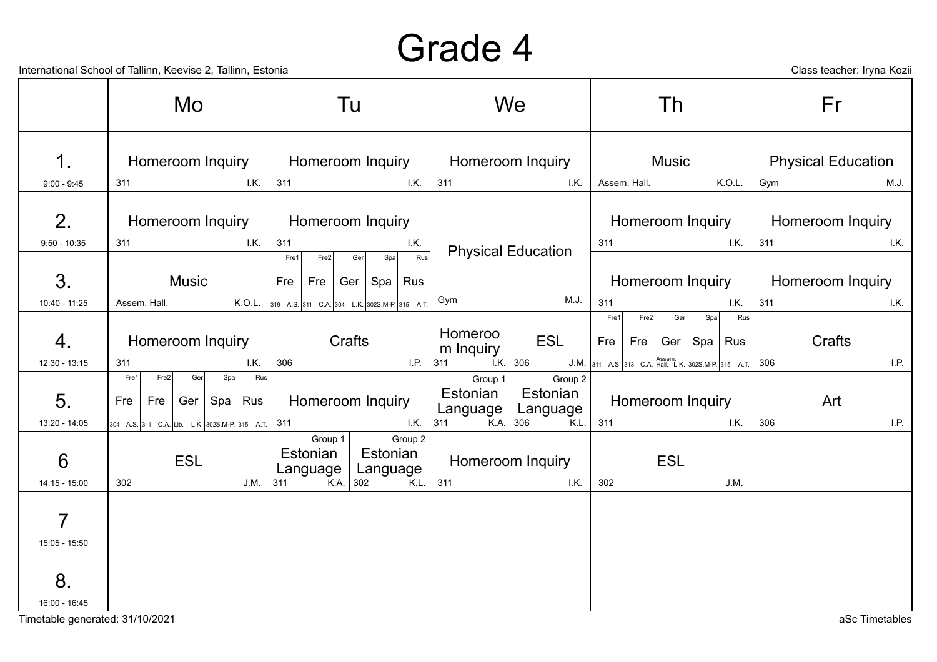|                                      | International School of Tallinn, Keevise 2, Tallinn, Estonia                                    |                                                                                                 |                                                                                                 |                                                                               | Class teacher: Iryna Kozii               |  |
|--------------------------------------|-------------------------------------------------------------------------------------------------|-------------------------------------------------------------------------------------------------|-------------------------------------------------------------------------------------------------|-------------------------------------------------------------------------------|------------------------------------------|--|
|                                      | Mo                                                                                              | Tu                                                                                              | We                                                                                              | Th                                                                            | Fr                                       |  |
| 1.                                   | Homeroom Inquiry<br>I.K.<br>311                                                                 | Homeroom Inquiry<br>311<br>I.K.                                                                 | Homeroom Inquiry<br>311<br>1.K.                                                                 | Music<br>Assem. Hall.<br>K.O.L.                                               | <b>Physical Education</b><br>Gym<br>M.J. |  |
| $9:00 - 9:45$<br>2.                  | Homeroom Inquiry                                                                                | Homeroom Inquiry                                                                                |                                                                                                 | Homeroom Inquiry                                                              | Homeroom Inquiry                         |  |
| $9:50 - 10:35$                       | 1K<br>311                                                                                       | 311<br>I.K.<br>Rus<br>Fre1<br>Fre2<br>Spa<br>Ger                                                | <b>Physical Education</b>                                                                       | I.K.<br>311                                                                   | 311<br>I.K.                              |  |
| 3.                                   | <b>Music</b>                                                                                    | Fre<br>Fre<br>Spa   Rus<br>Ger                                                                  | M.J.<br>Gym                                                                                     | Homeroom Inquiry<br>311                                                       | Homeroom Inquiry<br>311                  |  |
| 10:40 - 11:25<br>4.                  | Assem. Hall.<br>K.O.L.<br>Homeroom Inquiry                                                      | 319 A.S. 311 C.A. 304 L.K. 302S.M-P. 315 A.T.<br>Crafts                                         | Homeroo<br><b>ESL</b><br>m Inquiry                                                              | 1. K.<br>Rus<br>Fre1<br>Fre2<br>Ger<br>Spa<br>Fre<br>Fre<br>Ger<br>Spa<br>Rus | 1.K.<br>Crafts                           |  |
| $12:30 - 13:15$                      | 311<br>I.K.<br>Fre2<br>Rus<br>Ger                                                               | 306<br>I.P.                                                                                     | $\overline{K}$ 306<br>311                                                                       | J.M. 311 A.S. 313 C.A. Hall. L.K. 302S.M-P. 315 A.T.                          | 306<br>I.P.                              |  |
| 5.<br>13:20 - 14:05                  | Fre1<br>Spa<br>Spa   Rus<br>Fre<br>Ger<br>Fre<br>304 A.S. 311 C.A. Lib. L.K. 302S.M-P. 315 A.T. | Homeroom Inquiry<br>I.K.<br>311                                                                 | Group 1<br>Group 2<br>Estonian<br>Estonian<br>Language<br>Language<br>311<br>K.A. $306$<br>K.L. | Homeroom Inquiry<br>311<br>1. K.                                              | Art<br>306<br>I.P.                       |  |
| 6<br>14:15 - 15:00                   | <b>ESL</b><br>302<br>J.M.                                                                       | Group 1<br>Group 2<br>Estonian<br>Estonian<br>Language<br>Language<br>311<br>K.A. $302$<br>K.L. | Homeroom Inquiry<br>311<br>I.K.                                                                 | <b>ESL</b><br>302<br>J.M.                                                     |                                          |  |
| 7                                    |                                                                                                 |                                                                                                 |                                                                                                 |                                                                               |                                          |  |
| 15:05 - 15:50<br>8.<br>16:00 - 16:45 |                                                                                                 |                                                                                                 |                                                                                                 |                                                                               |                                          |  |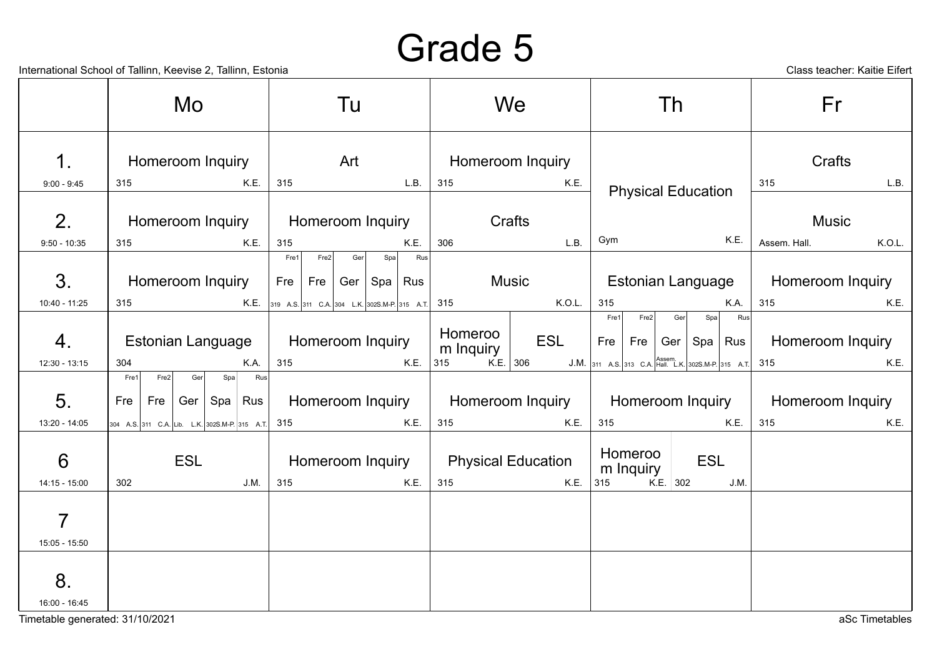International School of Tallinn, Keevise 2, Tallinn, Estonia Class teacher: Kaitie Eifert

|                                    | Mo                                                               | Tu                                                                                | We                                       | Th                                                               | Fr                      |
|------------------------------------|------------------------------------------------------------------|-----------------------------------------------------------------------------------|------------------------------------------|------------------------------------------------------------------|-------------------------|
| 1.                                 | Homeroom Inquiry                                                 | Art                                                                               | <b>Homeroom Inquiry</b>                  |                                                                  | Crafts                  |
| $9:00 - 9:45$                      | K.E.<br>315                                                      | 315<br>L.B.                                                                       | 315<br>K.E.                              | <b>Physical Education</b>                                        | 315<br>L.B.             |
| 2.                                 | Homeroom Inquiry                                                 | <b>Homeroom Inquiry</b>                                                           | Crafts                                   |                                                                  | <b>Music</b>            |
| $9:50 - 10:35$                     | K.E.<br>315                                                      | 315<br>K.E.                                                                       | L.B.<br>306                              | Gym<br>K.E.                                                      | Assem. Hall.<br>K.O.L.  |
| 3.                                 | Homeroom Inquiry                                                 | Rus<br>Fre1<br>Fre2<br>Ger<br>Spa<br>Fre   Fre $ $<br>Ger $\vert$ Spa $\vert$ Rus | <b>Music</b>                             | Estonian Language                                                | Homeroom Inquiry        |
| 10:40 - 11:25                      | 315                                                              | <b>K.E.</b> 319 A.S. 311 C.A. 304 L.K. 302S.M-P. 315 A.T. 315                     | K.O.L.                                   | <b>K.A.</b><br>315                                               | 315<br>K.E.             |
| 4.                                 | Estonian Language                                                | Homeroom Inquiry                                                                  | Homeroo<br><b>ESL</b><br>m Inquiry       | Fre1<br>Fre2<br>Spa<br>Rus<br>Ger<br>Fre   Fre   Ger   Spa   Rus | Homeroom Inquiry        |
| $12:30 - 13:15$                    | 304<br>K.A.                                                      | 315<br>K.E.                                                                       | $K.E.$ 306<br>315                        | J.M. 311 A.S. 313 C.A. Hall. L.K. 302S.M-P. 315 A.T. 315         | K.E.                    |
| 5.                                 | Rus<br>Fre1<br>Fre2<br>Ger<br>Spa<br>Fre   Fre   Ger   Spa   Rus | Homeroom Inquiry                                                                  |                                          | Homeroom Inquiry   Homeroom Inquiry                              | <b>Homeroom Inquiry</b> |
| 13:20 - 14:05                      | 304 A.S. 311 C.A. Lib. L.K. 302S.M-P. 315 A.T. 315               | K.E.                                                                              | 315<br>K.E.                              | 315<br>K.E.                                                      | 315<br>K.E.             |
| $6\phantom{1}6$<br>$14:15 - 15:00$ | <b>ESL</b><br>302<br>J.M.                                        | <b>Homeroom Inquiry</b><br>K.E.<br>315                                            | <b>Physical Education</b><br>315<br>K.E. | Homeroo<br><b>ESL</b><br>m Inquiry<br>K.E. 302<br>315<br>J.M.    |                         |
| $\overline{7}$<br>$15:05 - 15:50$  |                                                                  |                                                                                   |                                          |                                                                  |                         |
| 8.<br>16:00 - 16:45                |                                                                  |                                                                                   |                                          |                                                                  |                         |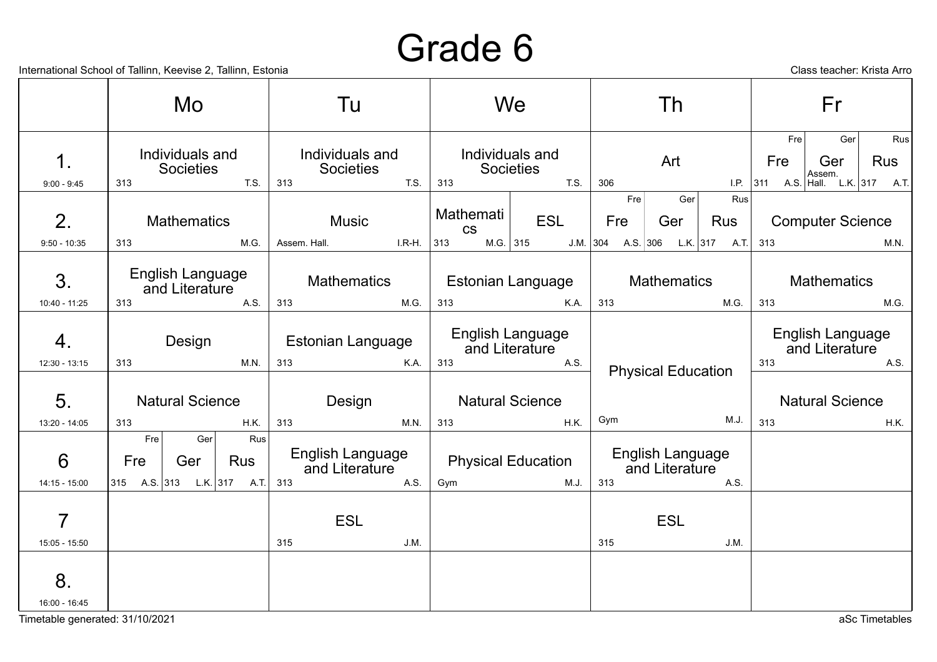International School of Tallinn, Keevise 2, Tallinn, Estonia Class teacher: Krista Arro

|                                   | Mo                                                     |                   | Tu                                               |          |                               | We                                                |                          | Th                                       |                   |     | Fr                                                                                    |             |  |
|-----------------------------------|--------------------------------------------------------|-------------------|--------------------------------------------------|----------|-------------------------------|---------------------------------------------------|--------------------------|------------------------------------------|-------------------|-----|---------------------------------------------------------------------------------------|-------------|--|
| 1.<br>$9:00 - 9:45$               | Individuals and<br>Societies<br>313                    | T.S.              | Individuals and<br>Societies<br>313              | T.S.     | 313                           | Individuals and<br>Societies<br>T.S.              | 306                      | Art                                      |                   |     | Ger<br>Fre<br><b>Rus</b><br>Ger<br>Fre<br>Assem.<br>I.P. 311 A.S. Hall. L.K. 317 A.T. |             |  |
| 2 <sub>1</sub><br>$9:50 - 10:35$  | <b>Mathematics</b><br>313                              | M.G.              | <b>Music</b><br>Assem. Hall.                     | $I.R-H.$ | Mathemati<br><b>CS</b><br>313 | <b>ESL</b><br>$M.G.$ 315                          | Fre<br>Fre<br>$J.M.$ 304 | Ger<br>Ger<br>A.S. 306 L.K. 317 A.T. 313 | Rus<br><b>Rus</b> |     | <b>Computer Science</b>                                                               | M.N.        |  |
| 3.                                | English Language<br>and Literature                     |                   | <b>Mathematics</b>                               |          |                               | Estonian Language                                 |                          | <b>Mathematics</b>                       |                   |     | <b>Mathematics</b>                                                                    |             |  |
| 10:40 - 11:25<br>4.               | 313<br>Design                                          | A.S.              | 313<br><b>Estonian Language</b>                  | M.G.     | 313                           | K.A.<br><b>English Language</b><br>and Literature | 313                      |                                          | M.G.              | 313 | English Language<br>and Literature                                                    | M.G.        |  |
| $12:30 - 13:15$<br>5.             | 313<br><b>Natural Science</b>                          | M.N.              | 313<br>Design                                    | K.A.     | 313                           | A.S.<br><b>Natural Science</b>                    |                          | <b>Physical Education</b>                |                   | 313 | <b>Natural Science</b>                                                                | A.S.        |  |
| $13:20 - 14:05$                   | 313                                                    | <b>H.K.</b>       | 313                                              | M.N.     | 313                           | H.K.                                              | Gym                      |                                          | M.J.              | 313 |                                                                                       | <b>H.K.</b> |  |
| 6<br>14:15 - 15:00                | Fre<br>Ger<br>Fre<br>Ger<br>315 A.S. 313 L.K. 317 A.T. | Rus<br><b>Rus</b> | <b>English Language</b><br>and Literature<br>313 | A.S.     | Gym                           | <b>Physical Education</b><br>M.J.                 | 313                      | English Language<br>and Literature       | A.S.              |     |                                                                                       |             |  |
| $\overline{7}$<br>$15:05 - 15:50$ |                                                        |                   | <b>ESL</b><br>315                                | J.M.     |                               |                                                   | 315                      | <b>ESL</b>                               | J.M.              |     |                                                                                       |             |  |
| 8.<br>16:00 - 16:45               |                                                        |                   |                                                  |          |                               |                                                   |                          |                                          |                   |     |                                                                                       |             |  |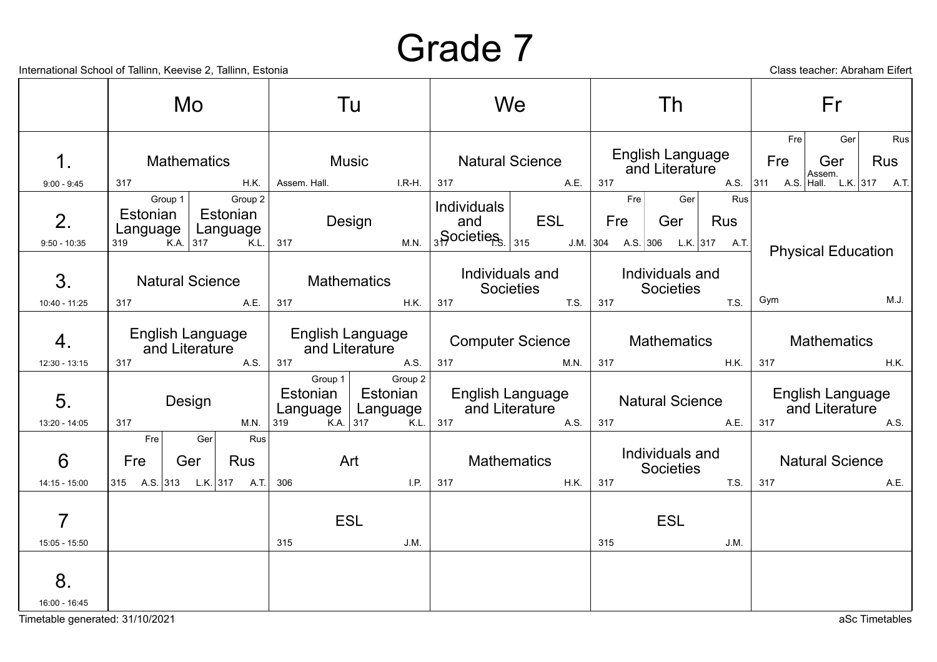Timetable generated: 31/10/2021 and the state of the state of the state of the state of the state of the state of the state of the state of the state of the state of the state of the state of the state of the state of the

|                                        |                                          | Mo                                                                       |                                               | Tu                                                            |                                                  | We                                                 |            | Th                                                                 |                         | Fr                                                                             |
|----------------------------------------|------------------------------------------|--------------------------------------------------------------------------|-----------------------------------------------|---------------------------------------------------------------|--------------------------------------------------|----------------------------------------------------|------------|--------------------------------------------------------------------|-------------------------|--------------------------------------------------------------------------------|
| 1.<br>$9:00 - 9:45$                    | 317                                      | <b>Mathematics</b><br>H.K.                                               | <b>Music</b><br>Assem. Hall.                  | $I.R-H.$                                                      | 317                                              | <b>Natural Science</b><br>A.E.                     | 317        | English Language<br>and Literature                                 | Fre <sub>1</sub><br>Fre | Ger<br>Rus<br><b>Rus</b><br>Ger<br>Assem.<br>A.S. 311 A.S. Hall. L.K. 317 A.T. |
| 2.<br>$9:50 - 10:35$                   | Group $1$<br>Estonian<br>Language<br>319 | Group 2<br>Estonian<br>Language<br>$K.A.$ 317<br>K.L.                    | 317                                           | Design<br>M.N.                                                | <b>Individuals</b><br>and<br>$35$ Ocieties $315$ | <b>ESL</b>                                         | Fre<br>Fre | Rus<br>Ger<br>Ger<br><b>Rus</b><br>J.M. 304 A.S. 306 L.K. 317 A.T. |                         | <b>Physical Education</b>                                                      |
| 3.<br>10:40 - 11:25                    | 317                                      | <b>Natural Science</b><br>A.E.                                           | <b>Mathematics</b><br>317                     | H.K.                                                          | 317                                              | Individuals and<br>Societies<br>T.S.               | 317        | Individuals and<br>Societies<br>T.S.                               | Gym                     | M.J.                                                                           |
| 4.                                     |                                          | English Language<br>English Language<br>and Literature<br>and Literature |                                               |                                                               |                                                  | <b>Computer Science</b>                            |            | <b>Mathematics</b>                                                 |                         | <b>Mathematics</b>                                                             |
| $12:30 - 13:15$<br>5.<br>13:20 - 14:05 | 317<br>317                               | A.S.<br>Design<br>M.N.                                                   | 317<br>Group 1<br>Estonian<br>Language<br>319 | A.S.<br>Group 2<br>Estonian<br>Language<br>$K.A.$ 317<br>K.L. | 317<br>317                                       | M.N.<br>English Language<br>and Literature<br>A.S. | 317<br>317 | H.K.<br><b>Natural Science</b><br>A.E.                             | 317<br>317              | <b>H.K.</b><br><b>English Language</b><br>and Literature<br>A.S.               |
| 6                                      | Fre <sub>1</sub><br>Fre                  | Rus<br>Ger<br><b>Rus</b><br>Ger                                          |                                               | Art                                                           |                                                  | <b>Mathematics</b>                                 |            | Individuals and<br><b>Societies</b>                                |                         | <b>Natural Science</b>                                                         |
| 14:15 - 15:00                          | $ 315 \tA.S. 313 \tL.K. 317 \tA.T. $     |                                                                          | 306                                           | I.P.                                                          | 317                                              | H.K.                                               | 317        | T.S.                                                               | 317                     | A.E.                                                                           |
| $\overline{7}$<br>$15:05 - 15:50$      |                                          |                                                                          | <b>ESL</b><br>315                             | J.M.                                                          |                                                  |                                                    | 315        | <b>ESL</b><br>J.M.                                                 |                         |                                                                                |
| 8.<br>16:00 - 16:45                    |                                          |                                                                          |                                               |                                                               |                                                  |                                                    |            |                                                                    |                         |                                                                                |

International School of Tallinn, Keevise 2, Tallinn, Estonia Class teacher: Abraham Eifert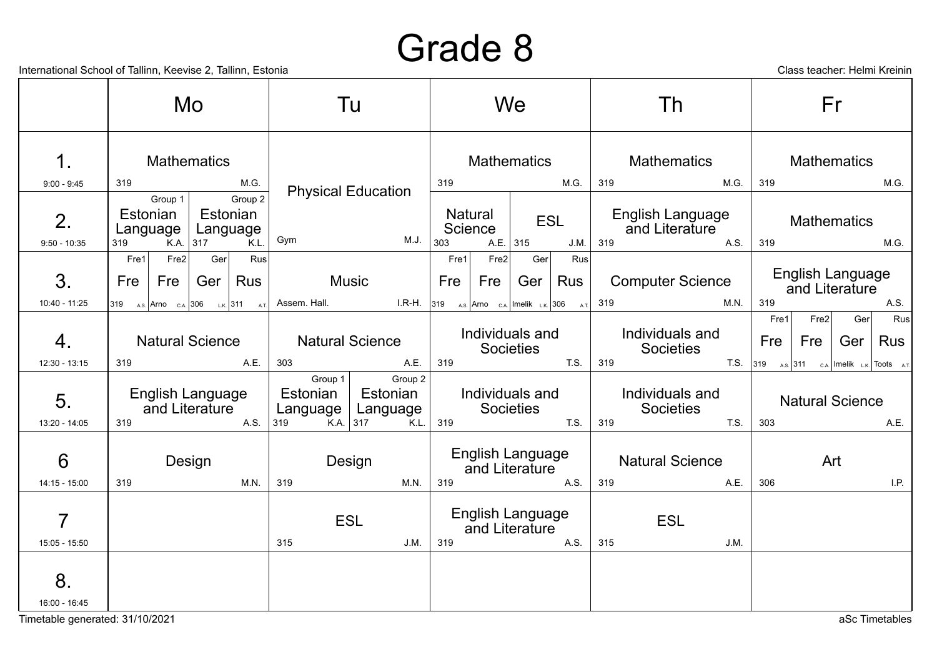International School of Tallinn, Keevise 2, Tallinn, Estonia Class teacher: Helmi Kreinin

|                      |                                           | Mo                 |                                         |                                                                                                                                                                                                      | Tu                                                    |      |                                                               | We                                                                              |                                                          |     | Th                                   |                    |      | Fr          |                                    |                                                           |
|----------------------|-------------------------------------------|--------------------|-----------------------------------------|------------------------------------------------------------------------------------------------------------------------------------------------------------------------------------------------------|-------------------------------------------------------|------|---------------------------------------------------------------|---------------------------------------------------------------------------------|----------------------------------------------------------|-----|--------------------------------------|--------------------|------|-------------|------------------------------------|-----------------------------------------------------------|
| 1.                   |                                           | <b>Mathematics</b> |                                         |                                                                                                                                                                                                      |                                                       |      |                                                               | <b>Mathematics</b>                                                              |                                                          |     | <b>Mathematics</b>                   |                    |      |             | <b>Mathematics</b>                 |                                                           |
| $9:00 - 9:45$        | 319                                       |                    | M.G.                                    |                                                                                                                                                                                                      |                                                       | 319  |                                                               |                                                                                 | M.G.                                                     | 319 | M.G.                                 | 319                |      |             |                                    | M.G.                                                      |
| 2.<br>$9:50 - 10:35$ | Group $1$<br>Estonian<br>Language<br>319  | $K.A.$ 317         | Group 2<br>Estonian<br>Language<br>K.L. | Gym                                                                                                                                                                                                  | <b>Physical Education</b><br>M.J.                     |      | Natural<br><b>ESL</b><br>Science<br>$A.E.$ 315<br>303<br>J.M. |                                                                                 | <b>English Language</b><br>and Literature<br>319<br>A.S. |     | 319                                  | <b>Mathematics</b> |      | M.G.        |                                    |                                                           |
|                      | Fre2<br>Fre1                              | Ger                | Rus                                     |                                                                                                                                                                                                      |                                                       | Fre1 | Fre2                                                          | Ger                                                                             | Rus                                                      |     |                                      |                    |      |             |                                    |                                                           |
| 3.                   | Fre<br><b>Fre</b>                         | Ger $ $            | Rus                                     |                                                                                                                                                                                                      | <b>Music</b>                                          | Fre  | Fre                                                           | Ger                                                                             | <b>Rus</b>                                               |     | <b>Computer Science</b>              |                    |      |             | English Language<br>and Literature |                                                           |
| 10:40 - 11:25        |                                           |                    |                                         | $\begin{vmatrix} 319 & &_{\mathsf{AS}} \end{vmatrix}$ Arno <sub>CA.</sub> $\begin{vmatrix} 306 & &_{\mathsf{LK}} \end{vmatrix}$ 311 $\begin{vmatrix} \text{A} & \text{A} \end{vmatrix}$ Assem. Hall. | $I.R-H.$ 319                                          |      |                                                               | $\mathsf{A.S.}$ Arno $\mathsf{c.A.}$ Imelik $\mathsf{L.K.}$ 306 $\mathsf{A.T.}$ |                                                          | 319 | M.N.                                 | 319                |      |             |                                    | A.S.                                                      |
| 4.                   | <b>Natural Science</b>                    |                    |                                         |                                                                                                                                                                                                      | <b>Natural Science</b>                                |      |                                                               | Individuals and<br><b>Societies</b>                                             |                                                          |     | Individuals and<br><b>Societies</b>  | Fre                | Fre1 | Fre2<br>Fre | Ger<br>Ger                         | Rus<br><b>Rus</b>                                         |
| $12:30 - 13:15$      | 319                                       |                    | A.E.                                    | 303                                                                                                                                                                                                  | A.E.                                                  | 319  |                                                               |                                                                                 | T.S.                                                     | 319 |                                      | T.S.<br>319        |      |             |                                    | $\lambda$ <sub>A.S.</sub> 311 c.a. Imelik l.k. Toots a.t. |
| 5.<br>13:20 - 14:05  | English Language<br>and Literature<br>319 |                    | A.S.                                    | Group 1<br>Estonian<br>Language $ $<br>319                                                                                                                                                           | Group 2<br>Estonian<br>Language<br>K.A. $317$<br>K.L. | 319  |                                                               | Individuals and<br><b>Societies</b>                                             | T.S.                                                     | 319 | Individuals and<br>Societies<br>T.S. | 303                |      |             | <b>Natural Science</b>             | A.E.                                                      |
| 6<br>$14:15 - 15:00$ | 319                                       | Design             | M.N.                                    | 319                                                                                                                                                                                                  | Design<br>M.N.                                        | 319  |                                                               | English Language<br>and Literature                                              | A.S.                                                     | 319 | <b>Natural Science</b><br>A.E.       | 306                |      | Art         |                                    | I.P.                                                      |
| 7<br>15:05 - 15:50   |                                           |                    |                                         | 315                                                                                                                                                                                                  | <b>ESL</b><br>J.M.                                    | 319  |                                                               | <b>English Language</b><br>and Literature                                       | A.S.                                                     | 315 | <b>ESL</b><br>J.M.                   |                    |      |             |                                    |                                                           |
| 8.<br>16:00 - 16:45  |                                           |                    |                                         |                                                                                                                                                                                                      |                                                       |      |                                                               |                                                                                 |                                                          |     |                                      |                    |      |             |                                    |                                                           |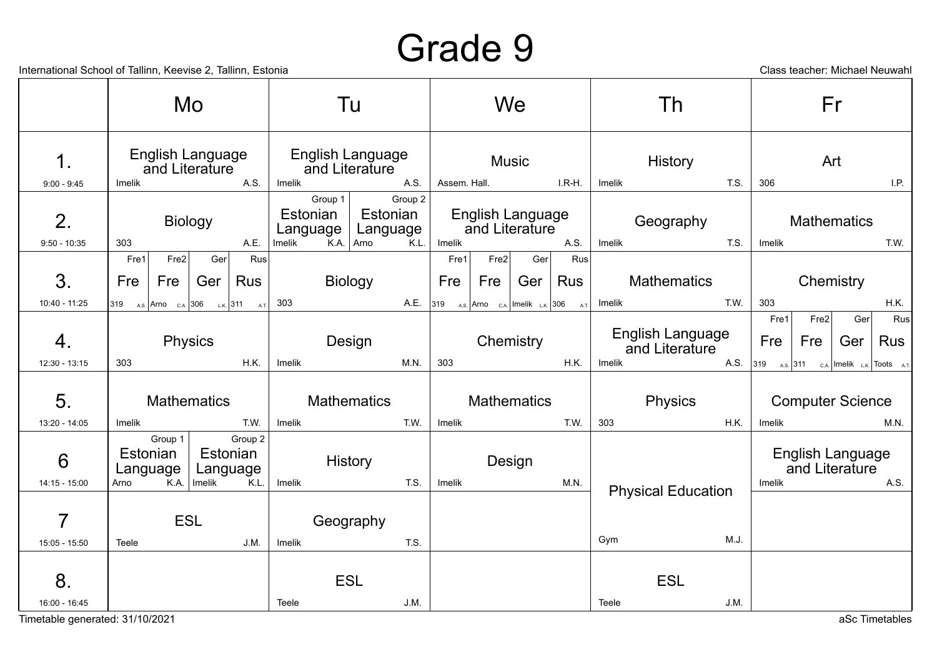International School of Tallinn, Keevise 2, Tallinn, Estonia Class teacher: Michael Neuwahl

|                     |             |                      | Mo.                                              |                      |                                   | Tu                                         |                                                                    |                                           | We           |             | Th     |                                    |      | Fr                                                                                          |             |                                    |                   |
|---------------------|-------------|----------------------|--------------------------------------------------|----------------------|-----------------------------------|--------------------------------------------|--------------------------------------------------------------------|-------------------------------------------|--------------|-------------|--------|------------------------------------|------|---------------------------------------------------------------------------------------------|-------------|------------------------------------|-------------------|
| 1.                  |             |                      | English Language<br>and Literature               |                      |                                   | English Language<br>and Literature<br>A.S. |                                                                    |                                           | <b>Music</b> |             |        | History                            |      | Art                                                                                         |             |                                    |                   |
| $9:00 - 9:45$       | Imelik      |                      |                                                  | A.S.                 | Imelik                            |                                            | Assem. Hall.                                                       |                                           |              | $I.R-H.$    | Imelik |                                    | T.S. | 306                                                                                         |             |                                    | I.P.              |
| 2.                  |             |                      | <b>Biology</b>                                   |                      | Group $1$<br>Estonian<br>Language | Group 2<br>Estonian<br>Language<br>K.L.    |                                                                    | <b>English Language</b><br>and Literature |              |             |        | Geography                          |      |                                                                                             |             | <b>Mathematics</b>                 |                   |
| $9:50 - 10:35$      | 303<br>Fre1 | Fre2                 | Ger                                              | A.E.<br>Rus          | Imelik                            | K.A. Arno                                  | Imelik<br>Fre1                                                     | Fre2                                      | Ger          | A.S.<br>Rus | Imelik |                                    | T.S. | Imelik                                                                                      |             |                                    | T.W.              |
| 3.                  | Fre         | Fre                  | Ger $ $                                          | Rus                  |                                   | <b>Biology</b>                             | Fre                                                                | Fre                                       | Ger $ $      | Rus         |        | <b>Mathematics</b>                 |      |                                                                                             |             | Chemistry                          |                   |
| 10:40 - 11:25       |             |                      | 319 A.S. Arno $_{\text{C.A.}}$ 306 L.K. 311 A.T. |                      | 303                               | A.E.                                       | $ 319 \t\t\t_{A.S.}$ Arno $_{C.A.}$ Imelik $_{L.K.}$ 306 $_{A.T.}$ |                                           |              |             | Imelik |                                    | T.W. | 303                                                                                         |             |                                    | H.K.              |
| 4.                  |             |                      | Physics                                          |                      |                                   | Design                                     |                                                                    |                                           | Chemistry    |             |        | English Language<br>and Literature |      | Fre1<br>Fre                                                                                 | Fre2<br>Fre | Ger<br>Ger                         | Rus<br><b>Rus</b> |
| $12:30 - 13:15$     | 303         |                      |                                                  | H.K.                 | Imelik                            | M.N.                                       | 303                                                                |                                           |              | H.K.        | Imelik |                                    | A.S. | $ 319 \t\t\t\t_{A.S.} 311 \t\t\t\t c.A. Imelik \t\t\t\t_{LK} Toots \t\t\t\t\t\t\t\t\t A.T.$ |             |                                    |                   |
| 5.                  |             |                      | <b>Mathematics</b>                               |                      |                                   | <b>Mathematics</b>                         |                                                                    | <b>Mathematics</b>                        |              |             |        | Physics                            |      |                                                                                             |             | <b>Computer Science</b>            |                   |
| 13:20 - 14:05       | Imelik      | Group $1$            |                                                  | T.W.<br>Group 2      | Imelik                            | T.W.                                       | Imelik                                                             |                                           |              | T.W.        | 303    |                                    | H.K. | Imelik                                                                                      |             |                                    | M.N.              |
| 6                   |             | Estonian<br>Language |                                                  | Estonian<br>Language |                                   | History                                    |                                                                    |                                           | Design       |             |        |                                    |      |                                                                                             |             | English Language<br>and Literature |                   |
| 14:15 - 15:00       | Arno        |                      | K.A.   Imelik                                    | K.L.                 | Imelik                            | T.S.                                       | Imelik                                                             |                                           |              | M.N.        |        | <b>Physical Education</b>          |      | Imelik                                                                                      |             |                                    | A.S.              |
| $\overline{7}$      |             |                      | <b>ESL</b>                                       |                      |                                   | Geography                                  |                                                                    |                                           |              |             |        |                                    |      |                                                                                             |             |                                    |                   |
| 15:05 - 15:50       | Teele       |                      |                                                  | J.M.                 | Imelik                            | T.S.                                       |                                                                    |                                           |              |             | Gym    |                                    | M.J. |                                                                                             |             |                                    |                   |
| 8.<br>16:00 - 16:45 |             |                      |                                                  |                      | Teele                             | <b>ESL</b><br>J.M.                         |                                                                    |                                           |              |             | Teele  | <b>ESL</b>                         | J.M. |                                                                                             |             |                                    |                   |

Timetable generated: 31/10/2021 aSc Timetables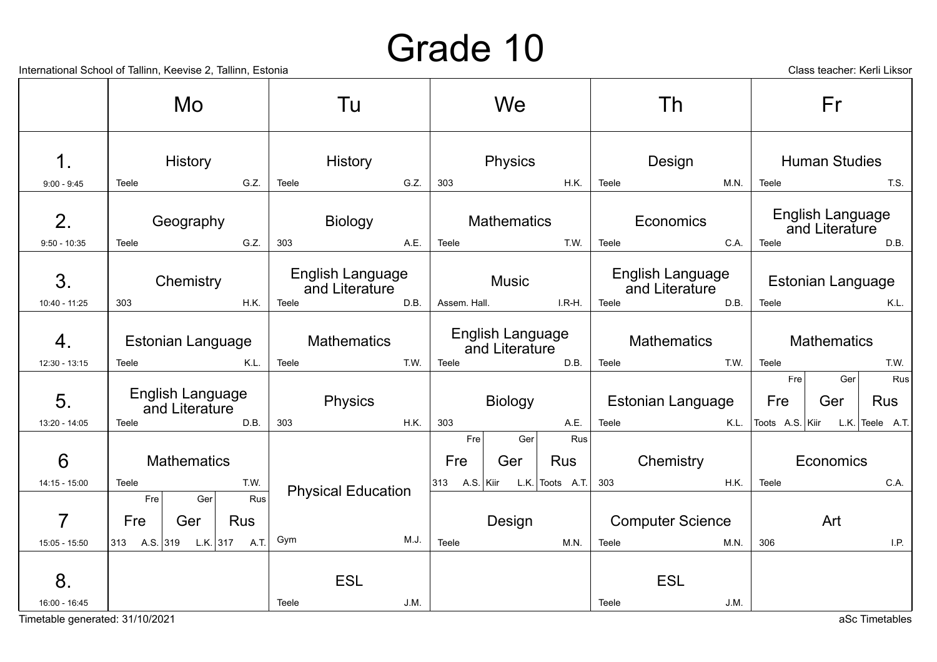International School of Tallinn, Keevise 2, Tallinn, Estonia

|  | Class teacher: Kerli Liksor |  |  |
|--|-----------------------------|--|--|
|--|-----------------------------|--|--|

|                      | $n$ and $n$ and $n$ and $n$ and $n$ , $n$ and $n$ and $n$ and $n$ and $n$ and $n$ |                                            |                                           |                                             | Class teacher. INCHILLINSO                          |
|----------------------|-----------------------------------------------------------------------------------|--------------------------------------------|-------------------------------------------|---------------------------------------------|-----------------------------------------------------|
|                      | Mo.                                                                               | Tu                                         | We                                        | Th                                          | Fr                                                  |
| $\mathbf 1$          | <b>History</b>                                                                    | History                                    | Physics                                   | Design                                      | <b>Human Studies</b>                                |
| $9:00 - 9:45$        | G.Z.<br>Teele                                                                     | Teele<br>G.Z.                              | 303<br>H.K.                               | Teele<br>M.N.                               | Teele<br>T.S.                                       |
| 2.                   | Geography<br>G.Z.                                                                 | Biology<br>303                             | <b>Mathematics</b><br>T.W.<br>Teele       | Economics<br>C.A.                           | English Language<br>and Literature<br>Teele<br>D.B. |
| $9:50 - 10:35$<br>3. | Teele<br>Chemistry                                                                | A.E.<br>English Language<br>and Literature | Music                                     | Teele<br>English Language<br>and Literature | <b>Estonian Language</b>                            |
| 10:40 - 11:25        | H.K.<br>303                                                                       | Teele<br>D.B.                              | $I.R-H.$<br>Assem. Hall.                  | Teele<br>D.B.                               | Teele<br>K.L.                                       |
| 4.                   | <b>Estonian Language</b>                                                          | <b>Mathematics</b>                         | <b>English Language</b><br>and Literature | <b>Mathematics</b>                          | Mathematics                                         |
| $12:30 - 13:15$      | K.L.<br>Teele                                                                     | T.W.<br>Teele                              | D.B.<br>Teele                             | Teele<br>T.W.                               | Teele<br>T.W.                                       |
| 5.                   | English Language<br>and Literature                                                | Physics                                    | Biology                                   | <b>Estonian Language</b>                    | Rus<br>Fre<br>Ger<br>Fre<br><b>Rus</b><br>Ger       |
| 13:20 - 14:05        | D.B.<br>Teele                                                                     | 303<br>H.K.                                | 303<br>A.E.                               | Teele<br>K.L.                               | Toots A.S. Kiir<br>L.K. Teele $A.T.$                |
| $6\phantom{1}6$      | <b>Mathematics</b>                                                                |                                            | Rus<br>Fre<br>Ger<br>Fre<br>Rus<br>Ger    | Chemistry<br>303<br><b>H.K.</b>             | Economics                                           |
| $14:15 - 15:00$      | T.W.<br>Teele<br>Rus<br>Fre<br>Ger                                                | <b>Physical Education</b>                  | 313 A.S. Kiir L.K. Toots A.T.             |                                             | Teele<br>C.A.                                       |
| $\overline{7}$       | Fre<br><b>Rus</b><br>Ger                                                          |                                            | Design                                    | <b>Computer Science</b>                     | Art                                                 |
| $15:05 - 15:50$      | 313 A.S. 319 L.K. 317 A.T.                                                        | M.J.<br>Gym                                | Teele<br>M.N.                             | Teele<br>M.N.                               | 306<br>I.P.                                         |
| 8.<br>16:00 - 16:45  |                                                                                   | <b>ESL</b><br>Teele<br>J.M.                |                                           | <b>ESL</b><br>Teele<br>J.M.                 |                                                     |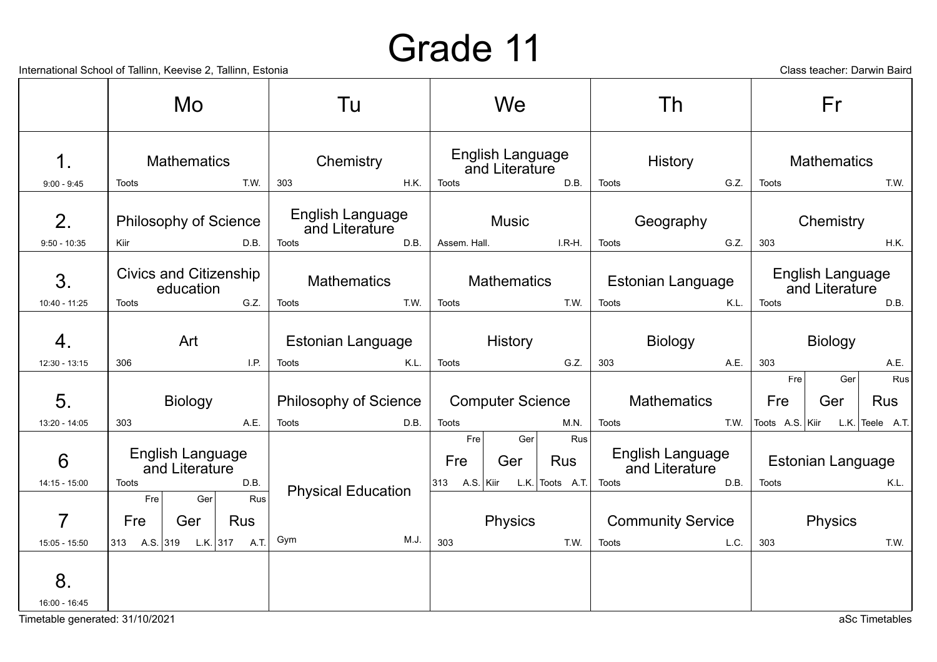International School of Tallinn, Keevise 2, Tallinn, Estonia Class teacher: Darwin Baird

|                              | Mo                                                         | Tu                                        | We                                                         | Th                                 | Fr                                   |
|------------------------------|------------------------------------------------------------|-------------------------------------------|------------------------------------------------------------|------------------------------------|--------------------------------------|
| 1.                           | <b>Mathematics</b>                                         | Chemistry                                 | English Language<br>and Literature                         | History                            | <b>Mathematics</b>                   |
| $9:00 - 9:45$                | T.W.<br>Toots                                              | 303<br>H.K.                               | <b>Toots</b><br>D.B.                                       | G.Z.<br>Toots                      | Toots<br>T.W.                        |
| 2.                           | <b>Philosophy of Science</b>                               | English Language<br>and Literature        | <b>Music</b>                                               | Geography                          | Chemistry                            |
| $9:50 - 10:35$               | Kiir<br>D.B.                                               | D.B.<br><b>Toots</b>                      | Assem. Hall.<br>I.R-H.                                     | G.Z.<br>Toots                      | 303<br>H.K.                          |
| 3.                           | <b>Civics and Citizenship</b><br>education                 | <b>Mathematics</b>                        | <b>Mathematics</b>                                         | <b>Estonian Language</b>           | English Language<br>and Literature   |
| 10:40 - 11:25                | G.Z.<br>Toots                                              | T.W.<br><b>Toots</b>                      | T.W.<br>Toots                                              | K.L.<br>Toots                      | <b>Toots</b><br>D.B.                 |
| $\mathbf 4$<br>12:30 - 13:15 | Art<br>1.P.<br>306                                         | Estonian Language<br>K.L.<br><b>Toots</b> | History<br>G.Z.<br>Toots                                   | <b>Biology</b><br>303<br>A.E.      | <b>Biology</b><br>303<br>A.E.        |
|                              |                                                            |                                           |                                                            |                                    | Rus<br>Fre <sub>1</sub><br>Ger       |
| 5.                           | <b>Biology</b>                                             | <b>Philosophy of Science</b>              | <b>Computer Science</b>                                    | <b>Mathematics</b>                 | Fre<br>Ger<br><b>Rus</b>             |
| 13:20 - 14:05                | 303<br>A.E.                                                | D.B.<br>Toots                             | Toots<br>M.N.                                              | T.W.<br>Toots                      | L.K. Teele $A.T.$<br>Toots A.S. Kiir |
| 6                            | English Language<br>and Literature                         |                                           | Fre <sub>l</sub><br>Ger<br>Rus<br>Fre<br><b>Rus</b><br>Ger | English Language<br>and Literature | Estonian Language                    |
| 14:15 - 15:00                | <b>Toots</b><br>D.B.                                       | <b>Physical Education</b>                 | $313$ A.S. Kiir<br>L.K. $ $ Toots A.T.                     | D.B.<br><b>Toots</b>               | Toots<br>K.L.                        |
| $\overline{7}$               | Rus<br>Fre <sub>1</sub><br>Ger<br>Fre<br><b>Rus</b><br>Ger |                                           | <b>Physics</b>                                             | <b>Community Service</b>           | <b>Physics</b>                       |
| 15:05 - 15:50                | 313 A.S. 319 L.K. 317 A.T.                                 | M.J.<br>Gym                               | 303<br>T.W.                                                | L.C.<br>Toots                      | 303<br>T.W.                          |
| 8.<br>16:00 - 16:45          |                                                            |                                           |                                                            |                                    |                                      |